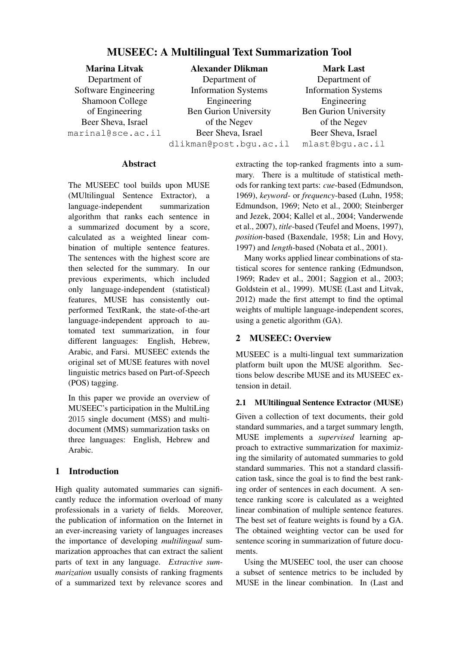# MUSEEC: A Multilingual Text Summarization Tool

Marina Litvak Department of Software Engineering Shamoon College of Engineering Beer Sheva, Israel marinal@sce.ac.il

Alexander Dlikman Department of Information Systems Engineering Ben Gurion University of the Negev Beer Sheva, Israel dlikman@post.bgu.ac.il

Mark Last Department of Information Systems Engineering Ben Gurion University of the Negev Beer Sheva, Israel mlast@bgu.ac.il

### Abstract

The MUSEEC tool builds upon MUSE (MUltilingual Sentence Extractor), a language-independent summarization algorithm that ranks each sentence in a summarized document by a score, calculated as a weighted linear combination of multiple sentence features. The sentences with the highest score are then selected for the summary. In our previous experiments, which included only language-independent (statistical) features, MUSE has consistently outperformed TextRank, the state-of-the-art language-independent approach to automated text summarization, in four different languages: English, Hebrew, Arabic, and Farsi. MUSEEC extends the original set of MUSE features with novel linguistic metrics based on Part-of-Speech (POS) tagging.

In this paper we provide an overview of MUSEEC's participation in the MultiLing 2015 single document (MSS) and multidocument (MMS) summarization tasks on three languages: English, Hebrew and Arabic.

## 1 Introduction

High quality automated summaries can significantly reduce the information overload of many professionals in a variety of fields. Moreover, the publication of information on the Internet in an ever-increasing variety of languages increases the importance of developing *multilingual* summarization approaches that can extract the salient parts of text in any language. *Extractive summarization* usually consists of ranking fragments of a summarized text by relevance scores and

extracting the top-ranked fragments into a summary. There is a multitude of statistical methods for ranking text parts: *cue*-based (Edmundson, 1969), *keyword*- or *frequency*-based (Luhn, 1958; Edmundson, 1969; Neto et al., 2000; Steinberger and Jezek, 2004; Kallel et al., 2004; Vanderwende et al., 2007), *title*-based (Teufel and Moens, 1997), *position*-based (Baxendale, 1958; Lin and Hovy, 1997) and *length*-based (Nobata et al., 2001).

Many works applied linear combinations of statistical scores for sentence ranking (Edmundson, 1969; Radev et al., 2001; Saggion et al., 2003; Goldstein et al., 1999). MUSE (Last and Litvak, 2012) made the first attempt to find the optimal weights of multiple language-independent scores, using a genetic algorithm (GA).

## 2 MUSEEC: Overview

MUSEEC is a multi-lingual text summarization platform built upon the MUSE algorithm. Sections below describe MUSE and its MUSEEC extension in detail.

## 2.1 MUltilingual Sentence Extractor (MUSE)

Given a collection of text documents, their gold standard summaries, and a target summary length, MUSE implements a *supervised* learning approach to extractive summarization for maximizing the similarity of automated summaries to gold standard summaries. This not a standard classification task, since the goal is to find the best ranking order of sentences in each document. A sentence ranking score is calculated as a weighted linear combination of multiple sentence features. The best set of feature weights is found by a GA. The obtained weighting vector can be used for sentence scoring in summarization of future documents.

Using the MUSEEC tool, the user can choose a subset of sentence metrics to be included by MUSE in the linear combination. In (Last and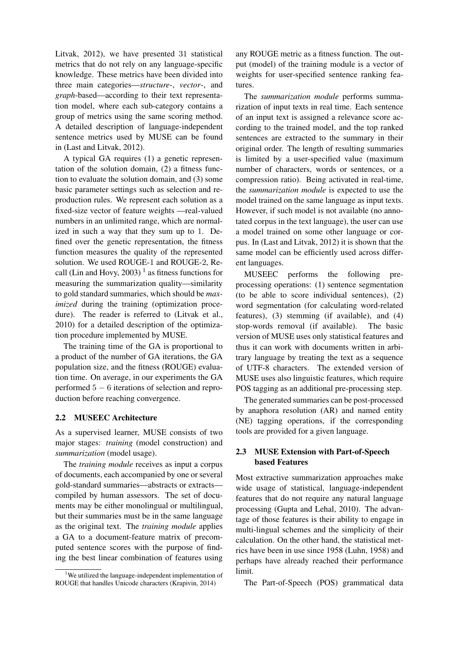Litvak, 2012), we have presented 31 statistical metrics that do not rely on any language-specific knowledge. These metrics have been divided into three main categories—*structure*-, *vector*-, and *graph*-based—according to their text representation model, where each sub-category contains a group of metrics using the same scoring method. A detailed description of language-independent sentence metrics used by MUSE can be found in (Last and Litvak, 2012).

A typical GA requires (1) a genetic representation of the solution domain, (2) a fitness function to evaluate the solution domain, and (3) some basic parameter settings such as selection and reproduction rules. We represent each solution as a fixed-size vector of feature weights —real-valued numbers in an unlimited range, which are normalized in such a way that they sum up to 1. Defined over the genetic representation, the fitness function measures the quality of the represented solution. We used ROUGE-1 and ROUGE-2, Recall (Lin and Hovy, 2003)<sup>1</sup> as fitness functions for measuring the summarization quality—similarity to gold standard summaries, which should be *maximized* during the training (optimization procedure). The reader is referred to (Litvak et al., 2010) for a detailed description of the optimization procedure implemented by MUSE.

The training time of the GA is proportional to a product of the number of GA iterations, the GA population size, and the fitness (ROUGE) evaluation time. On average, in our experiments the GA performed 5 − 6 iterations of selection and reproduction before reaching convergence.

#### 2.2 MUSEEC Architecture

As a supervised learner, MUSE consists of two major stages: *training* (model construction) and *summarization* (model usage).

The *training module* receives as input a corpus of documents, each accompanied by one or several gold-standard summaries—abstracts or extracts compiled by human assessors. The set of documents may be either monolingual or multilingual, but their summaries must be in the same language as the original text. The *training module* applies a GA to a document-feature matrix of precomputed sentence scores with the purpose of finding the best linear combination of features using

any ROUGE metric as a fitness function. The output (model) of the training module is a vector of weights for user-specified sentence ranking features.

The *summarization module* performs summarization of input texts in real time. Each sentence of an input text is assigned a relevance score according to the trained model, and the top ranked sentences are extracted to the summary in their original order. The length of resulting summaries is limited by a user-specified value (maximum number of characters, words or sentences, or a compression ratio). Being activated in real-time, the *summarization module* is expected to use the model trained on the same language as input texts. However, if such model is not available (no annotated corpus in the text language), the user can use a model trained on some other language or corpus. In (Last and Litvak, 2012) it is shown that the same model can be efficiently used across different languages.

MUSEEC performs the following preprocessing operations: (1) sentence segmentation (to be able to score individual sentences), (2) word segmentation (for calculating word-related features), (3) stemming (if available), and (4) stop-words removal (if available). The basic version of MUSE uses only statistical features and thus it can work with documents written in arbitrary language by treating the text as a sequence of UTF-8 characters. The extended version of MUSE uses also linguistic features, which require POS tagging as an additional pre-processing step.

The generated summaries can be post-processed by anaphora resolution (AR) and named entity (NE) tagging operations, if the corresponding tools are provided for a given language.

### 2.3 MUSE Extension with Part-of-Speech based Features

Most extractive summarization approaches make wide usage of statistical, language-independent features that do not require any natural language processing (Gupta and Lehal, 2010). The advantage of those features is their ability to engage in multi-lingual schemes and the simplicity of their calculation. On the other hand, the statistical metrics have been in use since 1958 (Luhn, 1958) and perhaps have already reached their performance limit.

The Part-of-Speech (POS) grammatical data

<sup>&</sup>lt;sup>1</sup>We utilized the language-independent implementation of ROUGE that handles Unicode characters (Krapivin, 2014)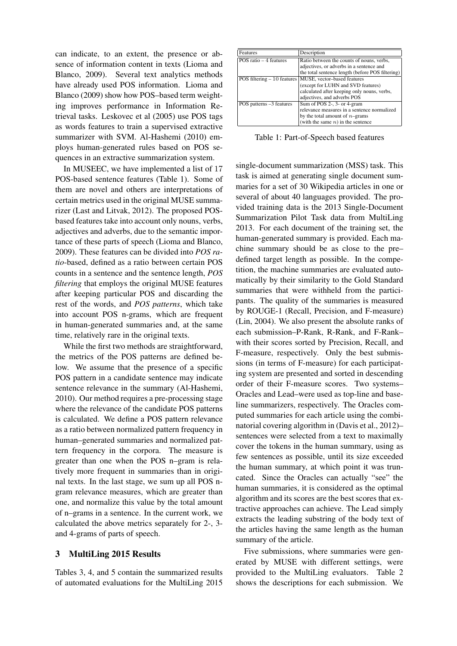can indicate, to an extent, the presence or absence of information content in texts (Lioma and Blanco, 2009). Several text analytics methods have already used POS information. Lioma and Blanco (2009) show how POS–based term weighting improves performance in Information Retrieval tasks. Leskovec et al (2005) use POS tags as words features to train a supervised extractive summarizer with SVM. Al-Hashemi (2010) employs human-generated rules based on POS sequences in an extractive summarization system.

In MUSEEC, we have implemented a list of 17 POS-based sentence features (Table 1). Some of them are novel and others are interpretations of certain metrics used in the original MUSE summarizer (Last and Litvak, 2012). The proposed POSbased features take into account only nouns, verbs, adjectives and adverbs, due to the semantic importance of these parts of speech (Lioma and Blanco, 2009). These features can be divided into *POS ratio*-based, defined as a ratio between certain POS counts in a sentence and the sentence length, *POS filtering* that employs the original MUSE features after keeping particular POS and discarding the rest of the words, and *POS patterns*, which take into account POS n-grams, which are frequent in human-generated summaries and, at the same time, relatively rare in the original texts.

While the first two methods are straightforward, the metrics of the POS patterns are defined below. We assume that the presence of a specific POS pattern in a candidate sentence may indicate sentence relevance in the summary (Al-Hashemi, 2010). Our method requires a pre-processing stage where the relevance of the candidate POS patterns is calculated. We define a POS pattern relevance as a ratio between normalized pattern frequency in human–generated summaries and normalized pattern frequency in the corpora. The measure is greater than one when the POS n–gram is relatively more frequent in summaries than in original texts. In the last stage, we sum up all POS ngram relevance measures, which are greater than one, and normalize this value by the total amount of n–grams in a sentence. In the current work, we calculated the above metrics separately for 2-, 3 and 4-grams of parts of speech.

### 3 MultiLing 2015 Results

Tables 3, 4, and 5 contain the summarized results of automated evaluations for the MultiLing 2015

| Features                     | Description                                      |
|------------------------------|--------------------------------------------------|
| POS ratio $-4$ features      | Ratio between the counts of nouns, verbs,        |
|                              | adjectives, or adverbs in a sentence and         |
|                              | the total sentence length (before POS filtering) |
| POS filtering $-10$ features | MUSE, vector-based features                      |
|                              | (except for LUHN and SVD features)               |
|                              | calculated after keeping only nouns, verbs,      |
|                              | adjectives, and adverbs POS                      |
| POS patterns -3 features     | Sum of POS 2-, 3- or 4-gram                      |
|                              | relevance measures in a sentence normalized      |
|                              | by the total amount of $n$ -grams                |
|                              | (with the same $n$ ) in the sentence             |

Table 1: Part-of-Speech based features

single-document summarization (MSS) task. This task is aimed at generating single document summaries for a set of 30 Wikipedia articles in one or several of about 40 languages provided. The provided training data is the 2013 Single-Document Summarization Pilot Task data from MultiLing 2013. For each document of the training set, the human-generated summary is provided. Each machine summary should be as close to the pre– defined target length as possible. In the competition, the machine summaries are evaluated automatically by their similarity to the Gold Standard summaries that were withheld from the participants. The quality of the summaries is measured by ROUGE-1 (Recall, Precision, and F-measure) (Lin, 2004). We also present the absolute ranks of each submission–P-Rank, R-Rank, and F-Rank– with their scores sorted by Precision, Recall, and F-measure, respectively. Only the best submissions (in terms of F-measure) for each participating system are presented and sorted in descending order of their F-measure scores. Two systems– Oracles and Lead–were used as top-line and baseline summarizers, respectively. The Oracles computed summaries for each article using the combinatorial covering algorithm in (Davis et al., 2012)– sentences were selected from a text to maximally cover the tokens in the human summary, using as few sentences as possible, until its size exceeded the human summary, at which point it was truncated. Since the Oracles can actually "see" the human summaries, it is considered as the optimal algorithm and its scores are the best scores that extractive approaches can achieve. The Lead simply extracts the leading substring of the body text of the articles having the same length as the human summary of the article.

Five submissions, where summaries were generated by MUSE with different settings, were provided to the MultiLing evaluators. Table 2 shows the descriptions for each submission. We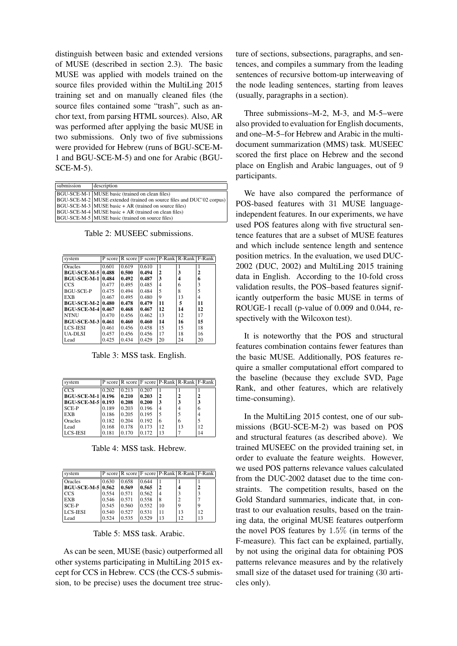distinguish between basic and extended versions of MUSE (described in section 2.3). The basic MUSE was applied with models trained on the source files provided within the MultiLing 2015 training set and on manually cleaned files (the source files contained some "trash", such as anchor text, from parsing HTML sources). Also, AR was performed after applying the basic MUSE in two submissions. Only two of five submissions were provided for Hebrew (runs of BGU-SCE-M-1 and BGU-SCE-M-5) and one for Arabic (BGU-SCE-M-5).

| submission | description                                                           |
|------------|-----------------------------------------------------------------------|
|            | BGU-SCE-M-1   MUSE basic (trained on clean files)                     |
|            | BGU-SCE-M-2 MUSE extended (trained on source files and DUC'02 corpus) |
|            | BGU-SCE-M-3   MUSE basic + AR (trained on source files)               |
|            | BGU-SCE-M-4 MUSE basic + AR (trained on clean files)                  |
|            | BGU-SCE-M-5 MUSE basic (trained on source files)                      |

Table 2: MUSEEC submissions.

| system                   |       |       |       |    | P score R score F score P-Rank R-Rank F-Rank |    |
|--------------------------|-------|-------|-------|----|----------------------------------------------|----|
| Oracles                  | 0.601 | 0.619 | 0.610 | 1  |                                              |    |
| <b>BGU-SCE-M-5 0.488</b> |       | 0.500 | 0.494 | 2  | 3                                            | 2  |
| <b>BGU-SCE-M-1</b>       | 0.484 | 0.492 | 0.487 | 3  | 4                                            | 6  |
| CCS                      | 0.477 | 0.495 | 0.485 | 4  | 6                                            | 3  |
| BGU-SCE-P                | 0.475 | 0.494 | 0.484 | 5  | $\mathsf{\overline{8}}$                      | 5  |
| <b>EXB</b>               | 0.467 | 0.495 | 0.480 | 9  | 13                                           | 4  |
| <b>BGU-SCE-M-2 0.480</b> |       | 0.478 | 0.479 | 11 | 5                                            | 11 |
| <b>BGU-SCE-M-4 0.467</b> |       | 0.468 | 0.467 | 12 | 14                                           | 12 |
| <b>NTNU</b>              | 0.470 | 0.456 | 0.462 | 13 | 12                                           | 17 |
| <b>BGU-SCE-M-3</b>       | 0.461 | 0.460 | 0.460 | 14 | 16                                           | 15 |
| <b>LCS-JESI</b>          | 0.461 | 0.456 | 0.458 | 15 | 15                                           | 18 |
| <b>UA-DLSI</b>           | 0.457 | 0.456 | 0.456 | 17 | 18                                           | 16 |
| Lead                     | 0.425 | 0.434 | 0.429 | 20 | 24                                           | 20 |

Table 3: MSS task. English.

| system                   |       |       |       |    | P score   R score   F score   P-Rank   R-Rank   F-Rank |                |
|--------------------------|-------|-------|-------|----|--------------------------------------------------------|----------------|
| $\overline{ccs}$         | 0.202 | 0.213 | 0.207 |    |                                                        |                |
| <b>BGU-SCE-M-1 0.196</b> |       | 0.210 | 0.203 | 2  | 2                                                      | 2              |
| <b>BGU-SCE-M-5 0.193</b> |       | 0.208 | 0.200 | 3  |                                                        | 3              |
| SCE-P                    | 0.189 | 0.203 | 0.196 | 4  | 4                                                      | 6              |
| <b>EXB</b>               | 0.186 | 0.205 | 0.195 | 5  |                                                        | $\overline{4}$ |
| Oracles                  | 0.182 | 0.204 | 0.192 | 6  | 6                                                      |                |
| Lead                     | 0.168 | 0.178 | 0.173 | 12 | 13                                                     | 12             |
| <b>LCS-JESI</b>          | 0.181 | 0.170 | 0.172 | 13 |                                                        | 14             |

Table 4: MSS task. Hebrew.

| system              |       |       |       |                | P score   R score   F score   P-Rank   R-Rank   F-Rank |    |
|---------------------|-------|-------|-------|----------------|--------------------------------------------------------|----|
| <b>Oracles</b>      | 0.630 | 0.658 | 0.644 |                |                                                        |    |
| BGU-SCE-M-5   0.562 |       | 0.569 | 0.565 | 2              |                                                        |    |
| I CCS               | 0.554 | 0.571 | 0.562 | $\overline{4}$ |                                                        |    |
| <b>EXB</b>          | 0.546 | 0.571 | 0.558 | 8              |                                                        |    |
| SCE-P               | 0.545 | 0.560 | 0.552 | 10             | Q                                                      | 9  |
| LLCS-IESI           | 0.540 | 0.527 | 0.531 | 11             | 13                                                     | 12 |
| Lead                | 0.524 | 0.535 | 0.529 | 13             | 12                                                     | 13 |

Table 5: MSS task. Arabic.

As can be seen, MUSE (basic) outperformed all other systems participating in MultiLing 2015 except for CCS in Hebrew. CCS (the CCS-5 submission, to be precise) uses the document tree structure of sections, subsections, paragraphs, and sentences, and compiles a summary from the leading sentences of recursive bottom-up interweaving of the node leading sentences, starting from leaves (usually, paragraphs in a section).

Three submissions–M-2, M-3, and M-5–were also provided to evaluation for English documents, and one–M-5–for Hebrew and Arabic in the multidocument summarization (MMS) task. MUSEEC scored the first place on Hebrew and the second place on English and Arabic languages, out of 9 participants.

We have also compared the performance of POS-based features with 31 MUSE languageindependent features. In our experiments, we have used POS features along with five structural sentence features that are a subset of MUSE features and which include sentence length and sentence position metrics. In the evaluation, we used DUC-2002 (DUC, 2002) and MultiLing 2015 training data in English. According to the 10-fold cross validation results, the POS–based features significantly outperform the basic MUSE in terms of ROUGE-1 recall (p-value of 0.009 and 0.044, respectively with the Wilcoxon test).

It is noteworthy that the POS and structural features combination contains fewer features than the basic MUSE. Additionally, POS features require a smaller computational effort compared to the baseline (because they exclude SVD, Page Rank, and other features, which are relatively time-consuming).

In the MultiLing 2015 contest, one of our submissions (BGU-SCE-M-2) was based on POS and structural features (as described above). We trained MUSEEC on the provided training set, in order to evaluate the feature weights. However, we used POS patterns relevance values calculated from the DUC-2002 dataset due to the time constraints. The competition results, based on the Gold Standard summaries, indicate that, in contrast to our evaluation results, based on the training data, the original MUSE features outperform the novel POS features by 1.5% (in terms of the F-measure). This fact can be explained, partially, by not using the original data for obtaining POS patterns relevance measures and by the relatively small size of the dataset used for training (30 articles only).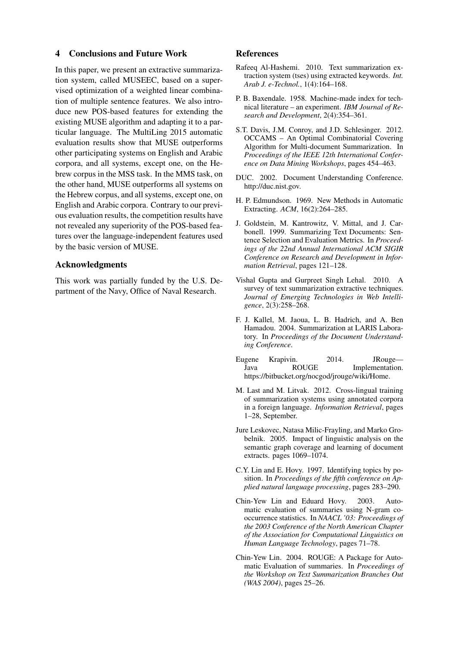#### 4 Conclusions and Future Work

In this paper, we present an extractive summarization system, called MUSEEC, based on a supervised optimization of a weighted linear combination of multiple sentence features. We also introduce new POS-based features for extending the existing MUSE algorithm and adapting it to a particular language. The MultiLing 2015 automatic evaluation results show that MUSE outperforms other participating systems on English and Arabic corpora, and all systems, except one, on the Hebrew corpus in the MSS task. In the MMS task, on the other hand, MUSE outperforms all systems on the Hebrew corpus, and all systems, except one, on English and Arabic corpora. Contrary to our previous evaluation results, the competition results have not revealed any superiority of the POS-based features over the language-independent features used by the basic version of MUSE.

#### Acknowledgments

This work was partially funded by the U.S. Department of the Navy, Office of Naval Research.

#### References

- Rafeeq Al-Hashemi. 2010. Text summarization extraction system (tses) using extracted keywords. *Int. Arab J. e-Technol.*, 1(4):164–168.
- P. B. Baxendale. 1958. Machine-made index for technical literature – an experiment. *IBM Journal of Research and Development*, 2(4):354–361.
- S.T. Davis, J.M. Conroy, and J.D. Schlesinger. 2012. OCCAMS – An Optimal Combinatorial Covering Algorithm for Multi-document Summarization. In *Proceedings of the IEEE 12th International Conference on Data Mining Workshops*, pages 454–463.
- DUC. 2002. Document Understanding Conference. http://duc.nist.gov.
- H. P. Edmundson. 1969. New Methods in Automatic Extracting. *ACM*, 16(2):264–285.
- J. Goldstein, M. Kantrowitz, V. Mittal, and J. Carbonell. 1999. Summarizing Text Documents: Sentence Selection and Evaluation Metrics. In *Proceedings of the 22nd Annual International ACM SIGIR Conference on Research and Development in Information Retrieval*, pages 121–128.
- Vishal Gupta and Gurpreet Singh Lehal. 2010. A survey of text summarization extractive techniques. *Journal of Emerging Technologies in Web Intelligence*, 2(3):258–268.
- F. J. Kallel, M. Jaoua, L. B. Hadrich, and A. Ben Hamadou. 2004. Summarization at LARIS Laboratory. In *Proceedings of the Document Understanding Conference*.
- Eugene Krapivin. 2014. JRouge— Java ROUGE Implementation. https://bitbucket.org/nocgod/jrouge/wiki/Home.
- M. Last and M. Litvak. 2012. Cross-lingual training of summarization systems using annotated corpora in a foreign language. *Information Retrieval*, pages 1–28, September.
- Jure Leskovec, Natasa Milic-Frayling, and Marko Grobelnik. 2005. Impact of linguistic analysis on the semantic graph coverage and learning of document extracts. pages 1069–1074.
- C.Y. Lin and E. Hovy. 1997. Identifying topics by position. In *Proceedings of the fifth conference on Applied natural language processing*, pages 283–290.
- Chin-Yew Lin and Eduard Hovy. 2003. Automatic evaluation of summaries using N-gram cooccurrence statistics. In *NAACL '03: Proceedings of the 2003 Conference of the North American Chapter of the Association for Computational Linguistics on Human Language Technology*, pages 71–78.
- Chin-Yew Lin. 2004. ROUGE: A Package for Automatic Evaluation of summaries. In *Proceedings of the Workshop on Text Summarization Branches Out (WAS 2004)*, pages 25–26.